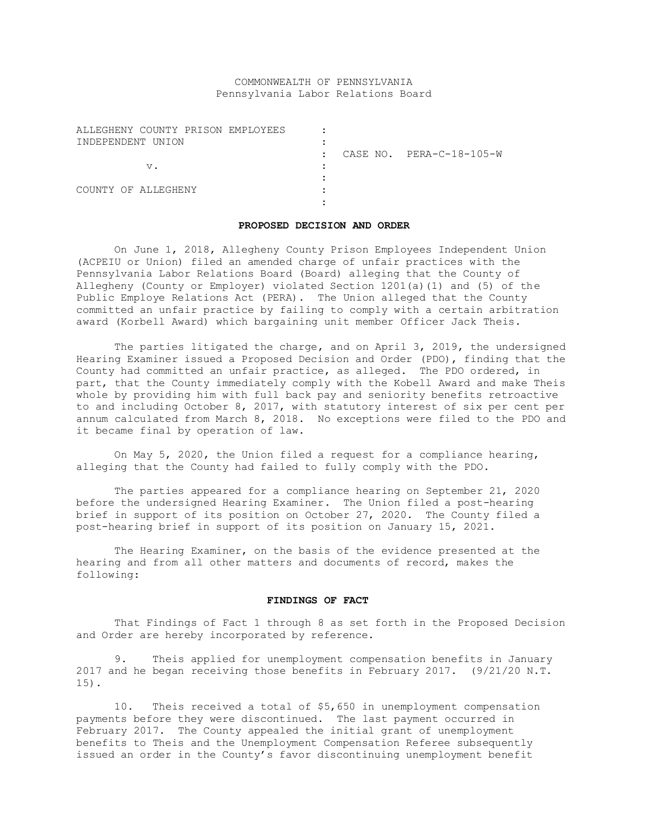# COMMONWEALTH OF PENNSYLVANIA Pennsylvania Labor Relations Board

| ALLEGHENY COUNTY PRISON EMPLOYEES |                                                  |
|-----------------------------------|--------------------------------------------------|
| INDEPENDENT UNION                 |                                                  |
|                                   | CASE NO. PERA-C-18-105-W<br>$\ddot{\phantom{a}}$ |
| v.                                |                                                  |
|                                   |                                                  |
| COUNTY OF ALLEGHENY               |                                                  |
|                                   |                                                  |

#### **PROPOSED DECISION AND ORDER**

On June 1, 2018, Allegheny County Prison Employees Independent Union (ACPEIU or Union) filed an amended charge of unfair practices with the Pennsylvania Labor Relations Board (Board) alleging that the County of Allegheny (County or Employer) violated Section 1201(a)(1) and (5) of the Public Employe Relations Act (PERA). The Union alleged that the County committed an unfair practice by failing to comply with a certain arbitration award (Korbell Award) which bargaining unit member Officer Jack Theis.

The parties litigated the charge, and on April 3, 2019, the undersigned Hearing Examiner issued a Proposed Decision and Order (PDO), finding that the County had committed an unfair practice, as alleged. The PDO ordered, in part, that the County immediately comply with the Kobell Award and make Theis whole by providing him with full back pay and seniority benefits retroactive to and including October 8, 2017, with statutory interest of six per cent per annum calculated from March 8, 2018. No exceptions were filed to the PDO and it became final by operation of law.

On May 5, 2020, the Union filed a request for a compliance hearing, alleging that the County had failed to fully comply with the PDO.

The parties appeared for a compliance hearing on September 21, 2020 before the undersigned Hearing Examiner. The Union filed a post-hearing brief in support of its position on October 27, 2020. The County filed a post-hearing brief in support of its position on January 15, 2021.

The Hearing Examiner, on the basis of the evidence presented at the hearing and from all other matters and documents of record, makes the following:

### **FINDINGS OF FACT**

That Findings of Fact 1 through 8 as set forth in the Proposed Decision and Order are hereby incorporated by reference.

9. Theis applied for unemployment compensation benefits in January 2017 and he began receiving those benefits in February 2017. (9/21/20 N.T. 15).

10. Theis received a total of \$5,650 in unemployment compensation payments before they were discontinued. The last payment occurred in February 2017. The County appealed the initial grant of unemployment benefits to Theis and the Unemployment Compensation Referee subsequently issued an order in the County's favor discontinuing unemployment benefit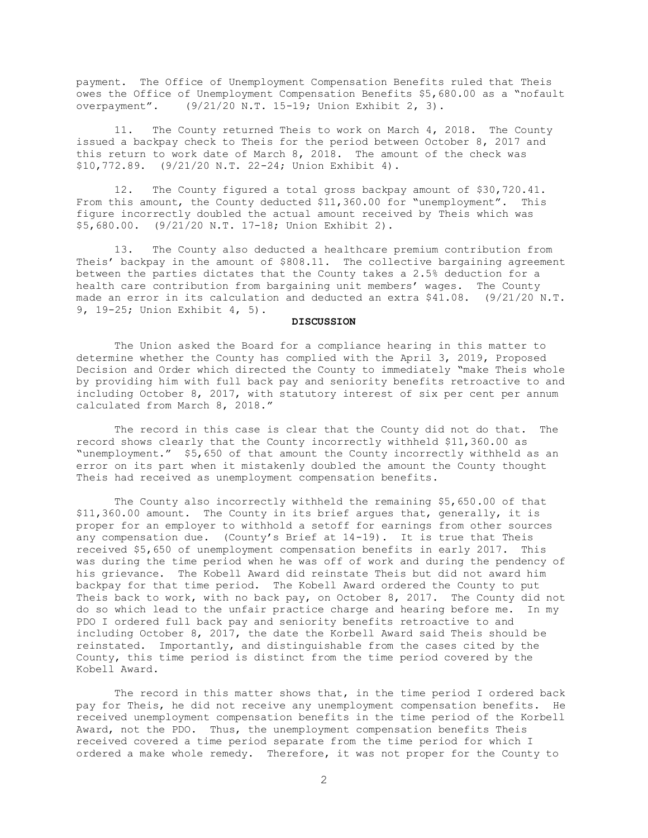payment. The Office of Unemployment Compensation Benefits ruled that Theis owes the Office of Unemployment Compensation Benefits \$5,680.00 as a "nofault overpayment". (9/21/20 N.T. 15-19; Union Exhibit 2, 3).

11. The County returned Theis to work on March 4, 2018. The County issued a backpay check to Theis for the period between October 8, 2017 and this return to work date of March 8, 2018. The amount of the check was \$10,772.89. (9/21/20 N.T. 22-24; Union Exhibit 4).

12. The County figured a total gross backpay amount of \$30,720.41. From this amount, the County deducted \$11,360.00 for "unemployment". This figure incorrectly doubled the actual amount received by Theis which was \$5,680.00. (9/21/20 N.T. 17-18; Union Exhibit 2).

13. The County also deducted a healthcare premium contribution from Theis' backpay in the amount of \$808.11. The collective bargaining agreement between the parties dictates that the County takes a 2.5% deduction for a health care contribution from bargaining unit members' wages. The County made an error in its calculation and deducted an extra \$41.08. (9/21/20 N.T. 9, 19-25; Union Exhibit 4, 5).

### **DISCUSSION**

The Union asked the Board for a compliance hearing in this matter to determine whether the County has complied with the April 3, 2019, Proposed Decision and Order which directed the County to immediately "make Theis whole by providing him with full back pay and seniority benefits retroactive to and including October 8, 2017, with statutory interest of six per cent per annum calculated from March 8, 2018."

The record in this case is clear that the County did not do that. The record shows clearly that the County incorrectly withheld \$11,360.00 as "unemployment." \$5,650 of that amount the County incorrectly withheld as an error on its part when it mistakenly doubled the amount the County thought Theis had received as unemployment compensation benefits.

The County also incorrectly withheld the remaining \$5,650.00 of that \$11,360.00 amount. The County in its brief argues that, generally, it is proper for an employer to withhold a setoff for earnings from other sources any compensation due. (County's Brief at  $14-19$ ). It is true that Theis received \$5,650 of unemployment compensation benefits in early 2017. This was during the time period when he was off of work and during the pendency of his grievance. The Kobell Award did reinstate Theis but did not award him backpay for that time period. The Kobell Award ordered the County to put Theis back to work, with no back pay, on October 8, 2017. The County did not do so which lead to the unfair practice charge and hearing before me. In my PDO I ordered full back pay and seniority benefits retroactive to and including October 8, 2017, the date the Korbell Award said Theis should be reinstated. Importantly, and distinguishable from the cases cited by the County, this time period is distinct from the time period covered by the Kobell Award.

The record in this matter shows that, in the time period I ordered back pay for Theis, he did not receive any unemployment compensation benefits. He received unemployment compensation benefits in the time period of the Korbell Award, not the PDO. Thus, the unemployment compensation benefits Theis received covered a time period separate from the time period for which I ordered a make whole remedy. Therefore, it was not proper for the County to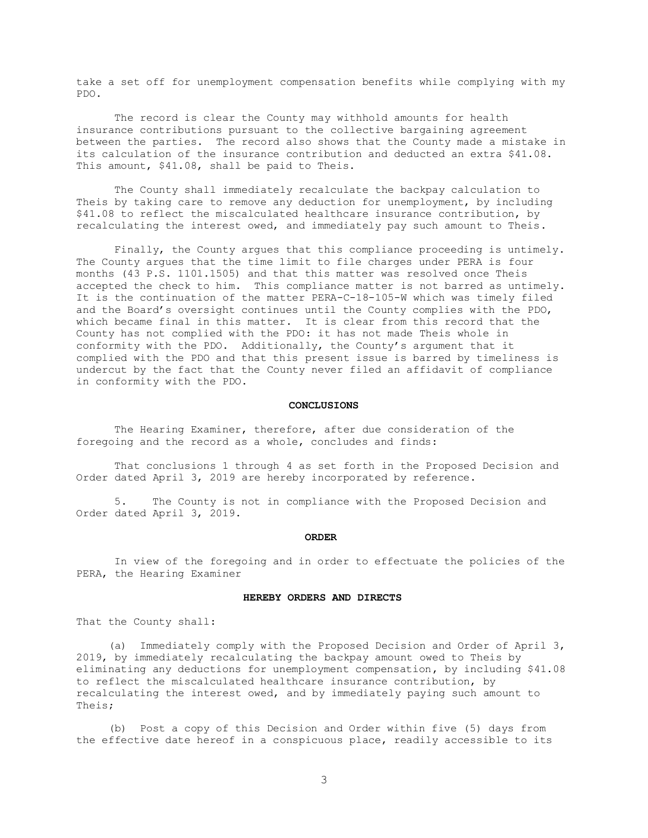take a set off for unemployment compensation benefits while complying with my PDO.

The record is clear the County may withhold amounts for health insurance contributions pursuant to the collective bargaining agreement between the parties. The record also shows that the County made a mistake in its calculation of the insurance contribution and deducted an extra \$41.08. This amount, \$41.08, shall be paid to Theis.

The County shall immediately recalculate the backpay calculation to Theis by taking care to remove any deduction for unemployment, by including \$41.08 to reflect the miscalculated healthcare insurance contribution, by recalculating the interest owed, and immediately pay such amount to Theis.

Finally, the County argues that this compliance proceeding is untimely. The County argues that the time limit to file charges under PERA is four months (43 P.S. 1101.1505) and that this matter was resolved once Theis accepted the check to him. This compliance matter is not barred as untimely. It is the continuation of the matter PERA-C-18-105-W which was timely filed and the Board's oversight continues until the County complies with the PDO, which became final in this matter. It is clear from this record that the County has not complied with the PDO: it has not made Theis whole in conformity with the PDO. Additionally, the County's argument that it complied with the PDO and that this present issue is barred by timeliness is undercut by the fact that the County never filed an affidavit of compliance in conformity with the PDO.

#### **CONCLUSIONS**

The Hearing Examiner, therefore, after due consideration of the foregoing and the record as a whole, concludes and finds:

That conclusions 1 through 4 as set forth in the Proposed Decision and Order dated April 3, 2019 are hereby incorporated by reference.

5. The County is not in compliance with the Proposed Decision and Order dated April 3, 2019.

#### **ORDER**

In view of the foregoing and in order to effectuate the policies of the PERA, the Hearing Examiner

### **HEREBY ORDERS AND DIRECTS**

That the County shall:

 (a) Immediately comply with the Proposed Decision and Order of April 3, 2019, by immediately recalculating the backpay amount owed to Theis by eliminating any deductions for unemployment compensation, by including \$41.08 to reflect the miscalculated healthcare insurance contribution, by recalculating the interest owed, and by immediately paying such amount to Theis;

 (b) Post a copy of this Decision and Order within five (5) days from the effective date hereof in a conspicuous place, readily accessible to its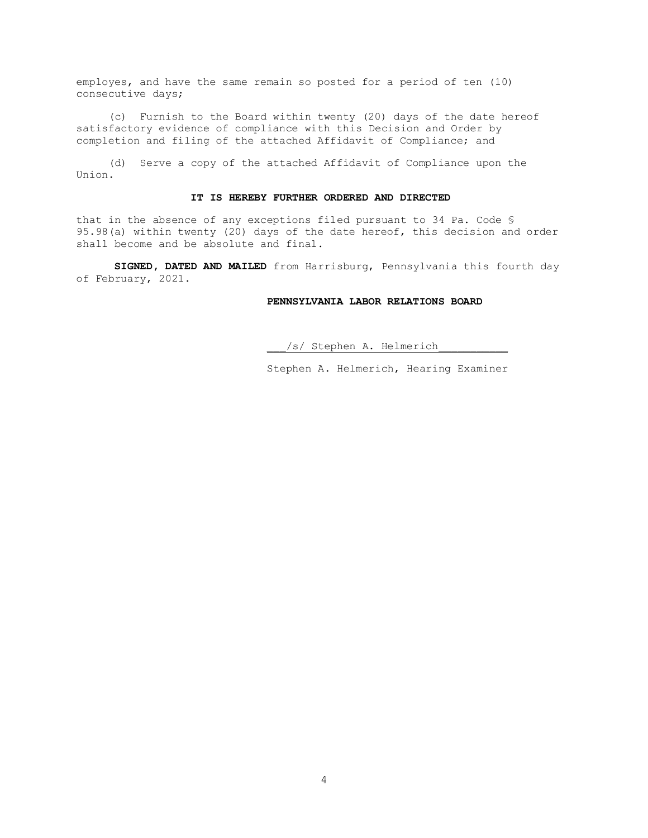employes, and have the same remain so posted for a period of ten (10) consecutive days;

 (c) Furnish to the Board within twenty (20) days of the date hereof satisfactory evidence of compliance with this Decision and Order by completion and filing of the attached Affidavit of Compliance; and

 (d) Serve a copy of the attached Affidavit of Compliance upon the Union.

### **IT IS HEREBY FURTHER ORDERED AND DIRECTED**

that in the absence of any exceptions filed pursuant to 34 Pa. Code § 95.98(a) within twenty (20) days of the date hereof, this decision and order shall become and be absolute and final.

**SIGNED, DATED AND MAILED** from Harrisburg, Pennsylvania this fourth day of February, 2021.

### **PENNSYLVANIA LABOR RELATIONS BOARD**

\_\_\_/s/ Stephen A. Helmerich\_\_\_\_\_\_\_\_\_\_\_

Stephen A. Helmerich, Hearing Examiner